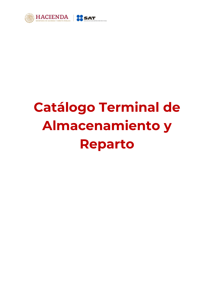

## **Catálogo Terminal de Almacenamiento y Reparto**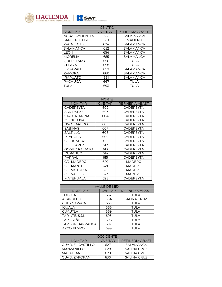



| <b>NORTE</b>         |                |                        |  |
|----------------------|----------------|------------------------|--|
| <b>NOM TAR</b>       | <b>CVE TAR</b> | <b>REFINERIA ABAST</b> |  |
| CADEREYTA            | 602            | <b>CADEREYTA</b>       |  |
| SAN RAFAEL           | 603            | <b>CADEREYTA</b>       |  |
| STA, CATARINA        | 604            | <b>CADEREYTA</b>       |  |
| <b>MONCLOVA</b>      | 605            | <b>CADEREYTA</b>       |  |
| NVO. LAREDO          | 606            | CADEREYTA              |  |
| <b>SABINAS</b>       | 607            | <b>CADEREYTA</b>       |  |
| <b>SALTILLO</b>      | 608            | <b>CADEREYTA</b>       |  |
| <b>REYNOSA</b>       | 609            | <b>CADEREYTA</b>       |  |
| CHIHUAHUA            | 611            | <b>CADEREYTA</b>       |  |
| CD. JUAREZ           | 612            | <b>CADEREYTA</b>       |  |
| <b>GOMEZ PALACIO</b> | 613            | <b>CADEREYTA</b>       |  |
| DURANGO              | 614            | <b>CADEREYTA</b>       |  |
| PARRAL               | 615            | <b>CADEREYTA</b>       |  |
| CD. MADERO           | 620            | MADERO                 |  |
| CD. MANTE            | 621            | MADERO                 |  |
| CD. VICTORIA         | 622            | MADERO                 |  |
| CD. VALLES           | 623            | MADERO                 |  |
| MATEHUALA            | 625            | CADEREYTA              |  |

| <b>VALLE DE MEX</b>     |                |                        |  |  |
|-------------------------|----------------|------------------------|--|--|
| <b>NOM TAR</b>          | <b>CVE TAR</b> | <b>REFINERIA ABAST</b> |  |  |
| <b>TOLUCA</b>           | 657            | TULA                   |  |  |
| <b>ACAPULCO</b>         | 664            | <b>SALINA CRUZ</b>     |  |  |
| <b>CUERNAVACA</b>       | 665            | <b>TULA</b>            |  |  |
| <b>IGUALA</b>           | 666            | TULA                   |  |  |
| <b>CUAUTLA</b>          | 669            | <b>TULA</b>            |  |  |
| <b>TAR NTE, S.J.I.</b>  | 695            | <b>TULA</b>            |  |  |
| TAR O AÑIL              | 696            | TULA                   |  |  |
| <b>TAR SUR BARRANCA</b> | 697            | <b>TULA</b>            |  |  |
| AZCO 18 MZO             | 699            | TUI A                  |  |  |

| OCCIDENTE                |                |                 |  |
|--------------------------|----------------|-----------------|--|
| <b>NOM TAR</b>           | <b>CVE TAR</b> | REFINERIA ABAST |  |
| <b>GUAD. EL CASTILLO</b> | 627            | SALAMANCA       |  |
| <b>MANZANILLO</b>        | 628            | SALINA CRUZ     |  |
| MAZATLAN                 | 629            | SALINA CRUZ     |  |
| GUAD, ZAPOPAN            |                | SALINA CRUZ     |  |